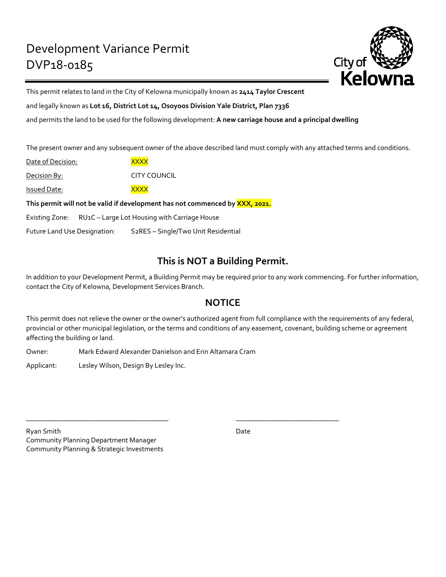

This permit relates to land in the City of Kelowna municipally known as **2414 Taylor Crescent**

and legally known as **Lot 16, District Lot 14, Osoyoos Division Yale District, Plan 7336**

and permits the land to be used for the following development: **A new carriage house and a principal dwelling**

The present owner and any subsequent owner of the above described land must comply with any attached terms and conditions.

| Date of Decision:                                                                          | <b>XXXX</b>  |
|--------------------------------------------------------------------------------------------|--------------|
| Decision By:                                                                               | CITY COUNCIL |
| Issued Date:                                                                               | <b>XXXX</b>  |
| This permit will not be valid if development has not commenced by <mark>XXX, 2021</mark> . |              |
| Existing Zone: RU1C - Large Lot Housing with Carriage House                                |              |

Future Land Use Designation: S2RES – Single/Two Unit Residential

# **This is NOT a Building Permit.**

In addition to your Development Permit, a Building Permit may be required prior to any work commencing. For further information, contact the City of Kelowna, Development Services Branch.

## **NOTICE**

This permit does not relieve the owner or the owner's authorized agent from full compliance with the requirements of any federal, provincial or other municipal legislation, or the terms and conditions of any easement, covenant, building scheme or agreement affecting the building or land.

Owner: Mark Edward Alexander Danielson and Erin Altamara Cram

\_\_\_\_\_\_\_\_\_\_\_\_\_\_\_\_\_\_\_\_\_\_\_\_\_\_\_\_\_\_\_\_\_\_\_\_\_\_\_\_ \_\_\_\_\_\_\_\_\_\_\_\_\_\_\_\_\_\_\_\_\_\_\_\_\_\_\_\_\_

Applicant: Lesley Wilson, Design By Lesley Inc.

Ryan Smith Date and Date Date Date Date Date Date Community Planning Department Manager Community Planning & Strategic Investments